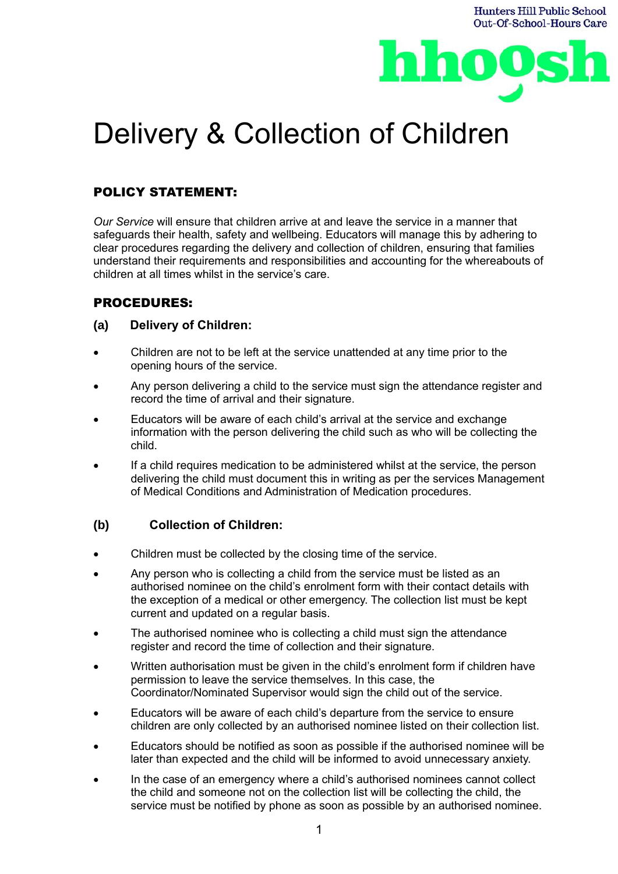

# Delivery & Collection of Children

## POLICY STATEMENT:

*Our Service* will ensure that children arrive at and leave the service in a manner that safeguards their health, safety and wellbeing. Educators will manage this by adhering to clear procedures regarding the delivery and collection of children, ensuring that families understand their requirements and responsibilities and accounting for the whereabouts of children at all times whilst in the service's care.

## PROCEDURES:

#### **(a) Delivery of Children:**

- Children are not to be left at the service unattended at any time prior to the opening hours of the service.
- Any person delivering a child to the service must sign the attendance register and record the time of arrival and their signature.
- Educators will be aware of each child's arrival at the service and exchange information with the person delivering the child such as who will be collecting the child.
- If a child requires medication to be administered whilst at the service, the person delivering the child must document this in writing as per the services Management of Medical Conditions and Administration of Medication procedures.

#### **(b) Collection of Children:**

- Children must be collected by the closing time of the service.
- Any person who is collecting a child from the service must be listed as an authorised nominee on the child's enrolment form with their contact details with the exception of a medical or other emergency. The collection list must be kept current and updated on a regular basis.
- The authorised nominee who is collecting a child must sign the attendance register and record the time of collection and their signature.
- Written authorisation must be given in the child's enrolment form if children have permission to leave the service themselves. In this case, the Coordinator/Nominated Supervisor would sign the child out of the service.
- Educators will be aware of each child's departure from the service to ensure children are only collected by an authorised nominee listed on their collection list.
- Educators should be notified as soon as possible if the authorised nominee will be later than expected and the child will be informed to avoid unnecessary anxiety.
- In the case of an emergency where a child's authorised nominees cannot collect the child and someone not on the collection list will be collecting the child, the service must be notified by phone as soon as possible by an authorised nominee.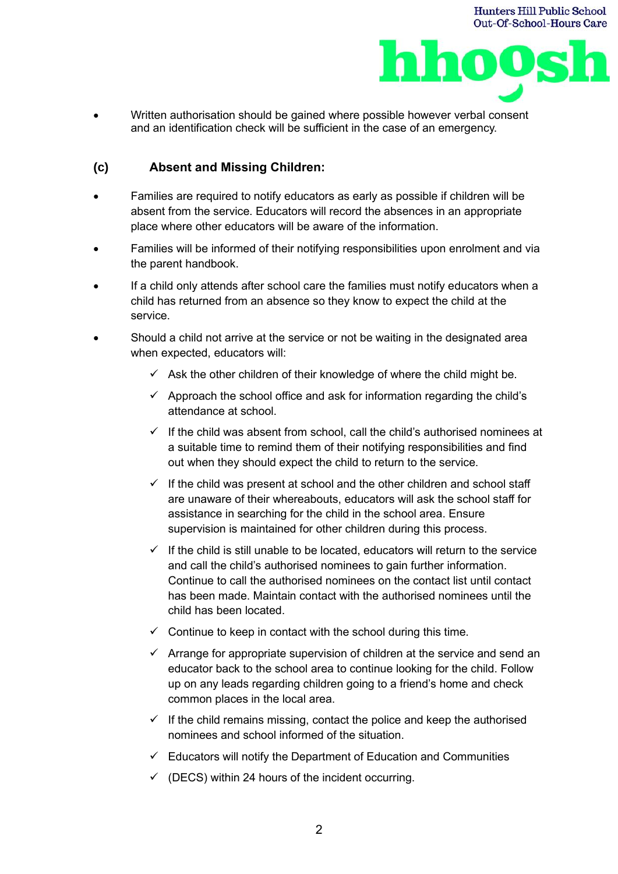

• Written authorisation should be gained where possible however verbal consent and an identification check will be sufficient in the case of an emergency.

## **(c) Absent and Missing Children:**

- Families are required to notify educators as early as possible if children will be absent from the service. Educators will record the absences in an appropriate place where other educators will be aware of the information.
- Families will be informed of their notifying responsibilities upon enrolment and via the parent handbook.
- If a child only attends after school care the families must notify educators when a child has returned from an absence so they know to expect the child at the service.
- Should a child not arrive at the service or not be waiting in the designated area when expected, educators will:
	- $\checkmark$  Ask the other children of their knowledge of where the child might be.
	- $\checkmark$  Approach the school office and ask for information regarding the child's attendance at school.
	- $\checkmark$  If the child was absent from school, call the child's authorised nominees at a suitable time to remind them of their notifying responsibilities and find out when they should expect the child to return to the service.
	- $\checkmark$  If the child was present at school and the other children and school staff are unaware of their whereabouts, educators will ask the school staff for assistance in searching for the child in the school area. Ensure supervision is maintained for other children during this process.
	- $\checkmark$  If the child is still unable to be located, educators will return to the service and call the child's authorised nominees to gain further information. Continue to call the authorised nominees on the contact list until contact has been made. Maintain contact with the authorised nominees until the child has been located.
	- $\checkmark$  Continue to keep in contact with the school during this time.
	- $\checkmark$  Arrange for appropriate supervision of children at the service and send an educator back to the school area to continue looking for the child. Follow up on any leads regarding children going to a friend's home and check common places in the local area.
	- $\checkmark$  If the child remains missing, contact the police and keep the authorised nominees and school informed of the situation.
	- $\checkmark$  Educators will notify the Department of Education and Communities
	- $\checkmark$  (DECS) within 24 hours of the incident occurring.